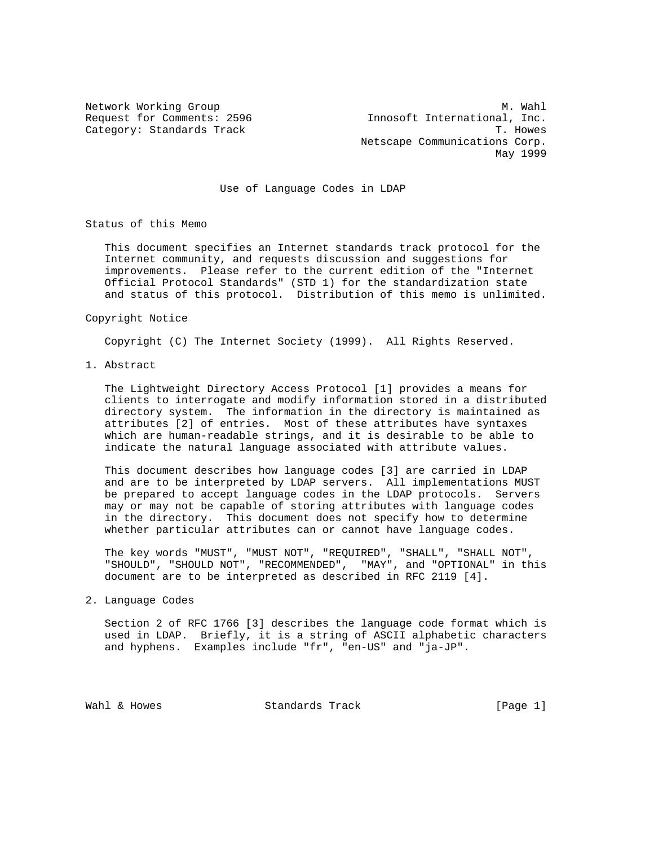Network Working Group Methods and Muslim Methods and Muslim Muslim Muslim Muslim Muslim Muslim Muslim Muslim Mu Request for Comments: 2596 Innosoft International, Inc. Category: Standards Track Track Track T. Howes Netscape Communications Corp. May 1999

Use of Language Codes in LDAP

Status of this Memo

 This document specifies an Internet standards track protocol for the Internet community, and requests discussion and suggestions for improvements. Please refer to the current edition of the "Internet Official Protocol Standards" (STD 1) for the standardization state and status of this protocol. Distribution of this memo is unlimited.

Copyright Notice

Copyright (C) The Internet Society (1999). All Rights Reserved.

1. Abstract

 The Lightweight Directory Access Protocol [1] provides a means for clients to interrogate and modify information stored in a distributed directory system. The information in the directory is maintained as attributes [2] of entries. Most of these attributes have syntaxes which are human-readable strings, and it is desirable to be able to indicate the natural language associated with attribute values.

 This document describes how language codes [3] are carried in LDAP and are to be interpreted by LDAP servers. All implementations MUST be prepared to accept language codes in the LDAP protocols. Servers may or may not be capable of storing attributes with language codes in the directory. This document does not specify how to determine whether particular attributes can or cannot have language codes.

 The key words "MUST", "MUST NOT", "REQUIRED", "SHALL", "SHALL NOT", "SHOULD", "SHOULD NOT", "RECOMMENDED", "MAY", and "OPTIONAL" in this document are to be interpreted as described in RFC 2119 [4].

2. Language Codes

 Section 2 of RFC 1766 [3] describes the language code format which is used in LDAP. Briefly, it is a string of ASCII alphabetic characters and hyphens. Examples include "fr", "en-US" and "ja-JP".

Wahl & Howes Standards Track [Page 1]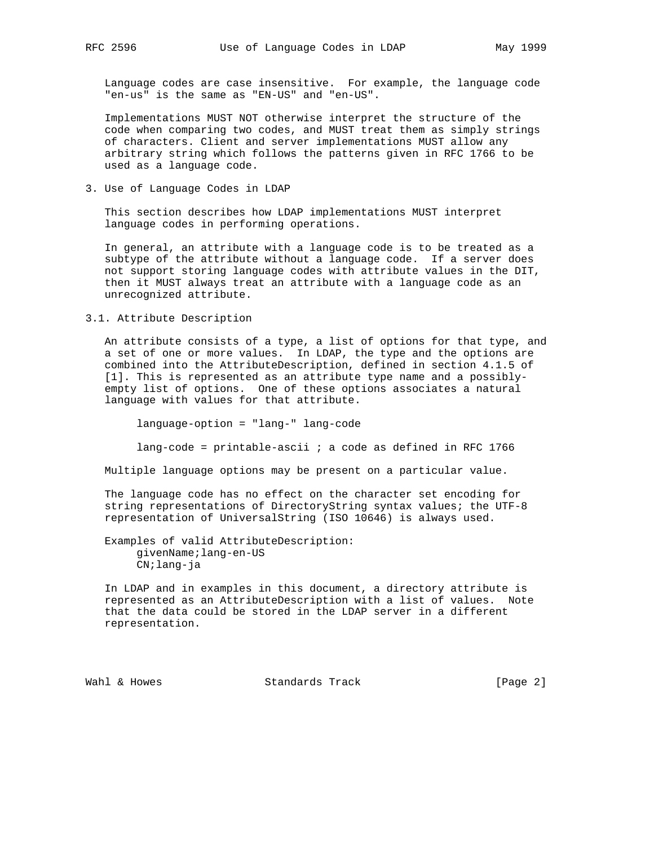Language codes are case insensitive. For example, the language code "en-us" is the same as "EN-US" and "en-US".

 Implementations MUST NOT otherwise interpret the structure of the code when comparing two codes, and MUST treat them as simply strings of characters. Client and server implementations MUST allow any arbitrary string which follows the patterns given in RFC 1766 to be used as a language code.

3. Use of Language Codes in LDAP

 This section describes how LDAP implementations MUST interpret language codes in performing operations.

 In general, an attribute with a language code is to be treated as a subtype of the attribute without a language code. If a server does not support storing language codes with attribute values in the DIT, then it MUST always treat an attribute with a language code as an unrecognized attribute.

## 3.1. Attribute Description

 An attribute consists of a type, a list of options for that type, and a set of one or more values. In LDAP, the type and the options are combined into the AttributeDescription, defined in section 4.1.5 of [1]. This is represented as an attribute type name and a possibly empty list of options. One of these options associates a natural language with values for that attribute.

language-option = "lang-" lang-code

lang-code = printable-ascii  $i$  a code as defined in RFC 1766

Multiple language options may be present on a particular value.

 The language code has no effect on the character set encoding for string representations of DirectoryString syntax values; the UTF-8 representation of UniversalString (ISO 10646) is always used.

 Examples of valid AttributeDescription: givenName;lang-en-US CN;lang-ja

 In LDAP and in examples in this document, a directory attribute is represented as an AttributeDescription with a list of values. Note that the data could be stored in the LDAP server in a different representation.

Wahl & Howes Standards Track [Page 2]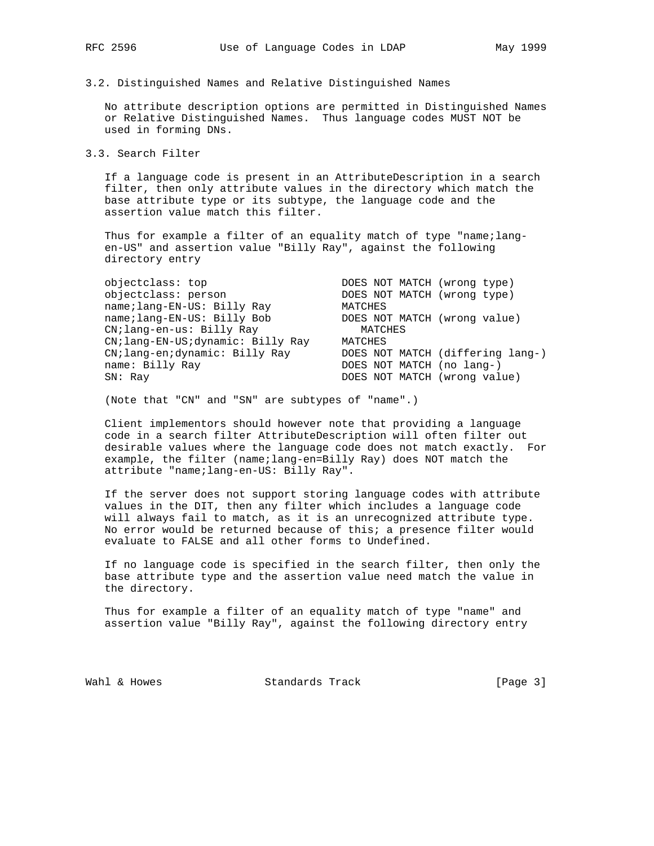3.2. Distinguished Names and Relative Distinguished Names

 No attribute description options are permitted in Distinguished Names or Relative Distinguished Names. Thus language codes MUST NOT be used in forming DNs.

3.3. Search Filter

 If a language code is present in an AttributeDescription in a search filter, then only attribute values in the directory which match the base attribute type or its subtype, the language code and the assertion value match this filter.

 Thus for example a filter of an equality match of type "name;lang en-US" and assertion value "Billy Ray", against the following directory entry

| objectclass: top                   | DOES NOT MATCH (wrong type)      |
|------------------------------------|----------------------------------|
| objectclass: person                | DOES NOT MATCH (wrong type)      |
| name; lang-EN-US: Billy Ray        | MATCHES                          |
| name; lang-EN-US: Billy Bob        | DOES NOT MATCH (wrong value)     |
| CN; lang-en-us: Billy Ray          | MATCHES                          |
| CN; lang-EN-US; dynamic: Billy Ray | MATCHES                          |
| CN; lang-en; dynamic: Billy Ray    | DOES NOT MATCH (differing lang-) |
| name: Billy Ray                    | DOES NOT MATCH (no lang-)        |
| SN: Ray                            | DOES NOT MATCH (wrong value)     |

(Note that "CN" and "SN" are subtypes of "name".)

 Client implementors should however note that providing a language code in a search filter AttributeDescription will often filter out desirable values where the language code does not match exactly. For example, the filter (name;lang-en=Billy Ray) does NOT match the attribute "name;lang-en-US: Billy Ray".

 If the server does not support storing language codes with attribute values in the DIT, then any filter which includes a language code will always fail to match, as it is an unrecognized attribute type. No error would be returned because of this; a presence filter would evaluate to FALSE and all other forms to Undefined.

 If no language code is specified in the search filter, then only the base attribute type and the assertion value need match the value in the directory.

 Thus for example a filter of an equality match of type "name" and assertion value "Billy Ray", against the following directory entry

Wahl & Howes Standards Track [Page 3]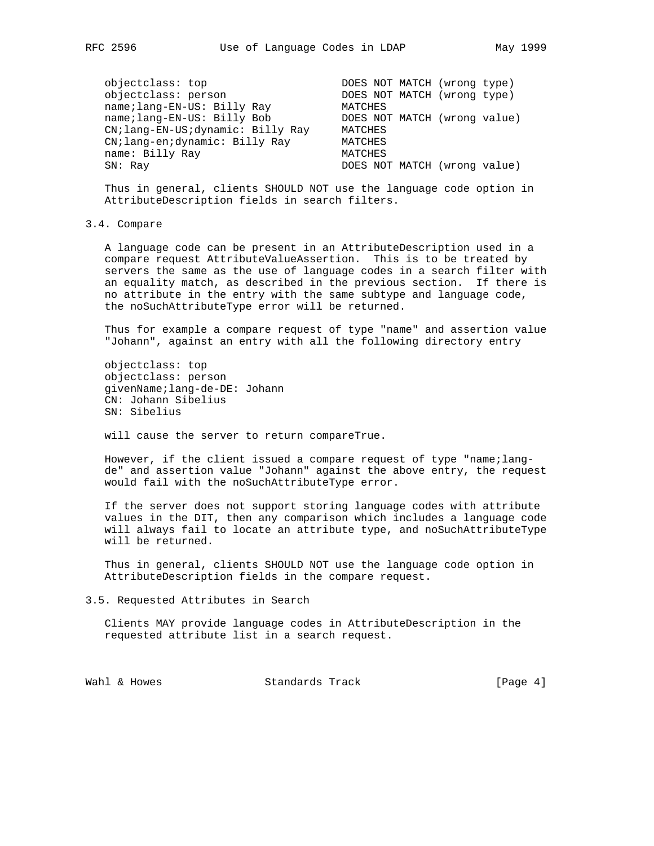objectclass: top DOES NOT MATCH (wrong type) objectclass: person DOES NOT MATCH (wrong type) name;lang-EN-US: Billy Ray MATCHES name;lang-EN-US: Billy Bob DOES NOT MATCH (wrong value) CN;lang-EN-US;dynamic: Billy Ray MATCHES CN;lang-en;dynamic: Billy Ray MATCHES name: Billy Ray MATCHES SN: Ray **DOES NOT MATCH** (wrong value)

 Thus in general, clients SHOULD NOT use the language code option in AttributeDescription fields in search filters.

#### 3.4. Compare

 A language code can be present in an AttributeDescription used in a compare request AttributeValueAssertion. This is to be treated by servers the same as the use of language codes in a search filter with an equality match, as described in the previous section. If there is no attribute in the entry with the same subtype and language code, the noSuchAttributeType error will be returned.

 Thus for example a compare request of type "name" and assertion value "Johann", against an entry with all the following directory entry

 objectclass: top objectclass: person givenName;lang-de-DE: Johann CN: Johann Sibelius SN: Sibelius

will cause the server to return compareTrue.

 However, if the client issued a compare request of type "name;lang de" and assertion value "Johann" against the above entry, the request would fail with the noSuchAttributeType error.

 If the server does not support storing language codes with attribute values in the DIT, then any comparison which includes a language code will always fail to locate an attribute type, and noSuchAttributeType will be returned.

 Thus in general, clients SHOULD NOT use the language code option in AttributeDescription fields in the compare request.

3.5. Requested Attributes in Search

 Clients MAY provide language codes in AttributeDescription in the requested attribute list in a search request.

Wahl & Howes Standards Track (Page 4)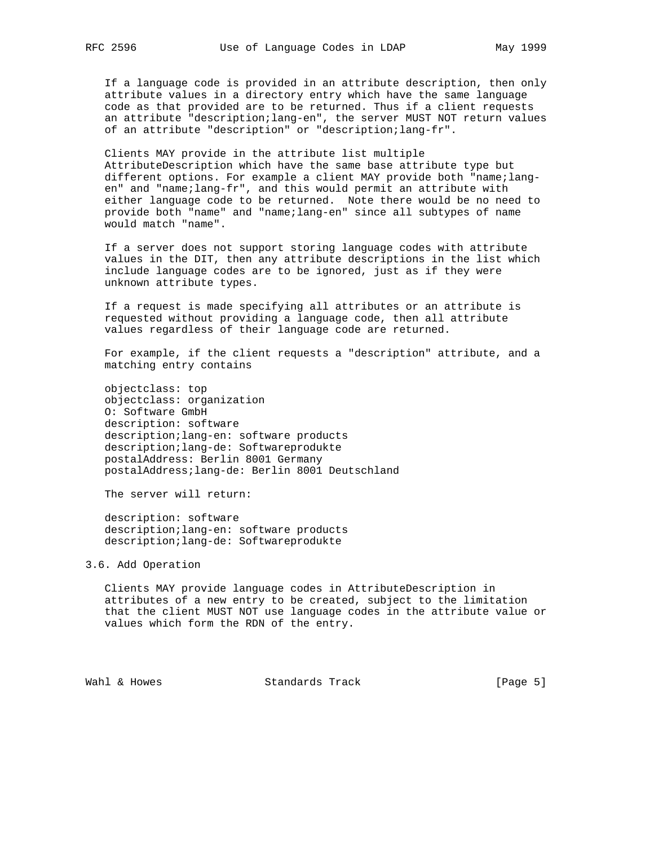If a language code is provided in an attribute description, then only attribute values in a directory entry which have the same language code as that provided are to be returned. Thus if a client requests an attribute "description;lang-en", the server MUST NOT return values of an attribute "description" or "description;lang-fr".

 Clients MAY provide in the attribute list multiple AttributeDescription which have the same base attribute type but different options. For example a client MAY provide both "name;lang en" and "name;lang-fr", and this would permit an attribute with either language code to be returned. Note there would be no need to provide both "name" and "name;lang-en" since all subtypes of name would match "name".

 If a server does not support storing language codes with attribute values in the DIT, then any attribute descriptions in the list which include language codes are to be ignored, just as if they were unknown attribute types.

 If a request is made specifying all attributes or an attribute is requested without providing a language code, then all attribute values regardless of their language code are returned.

 For example, if the client requests a "description" attribute, and a matching entry contains

 objectclass: top objectclass: organization O: Software GmbH description: software description;lang-en: software products description;lang-de: Softwareprodukte postalAddress: Berlin 8001 Germany postalAddress;lang-de: Berlin 8001 Deutschland

The server will return:

 description: software description;lang-en: software products description;lang-de: Softwareprodukte

# 3.6. Add Operation

 Clients MAY provide language codes in AttributeDescription in attributes of a new entry to be created, subject to the limitation that the client MUST NOT use language codes in the attribute value or values which form the RDN of the entry.

Wahl & Howes Standards Track (Page 5)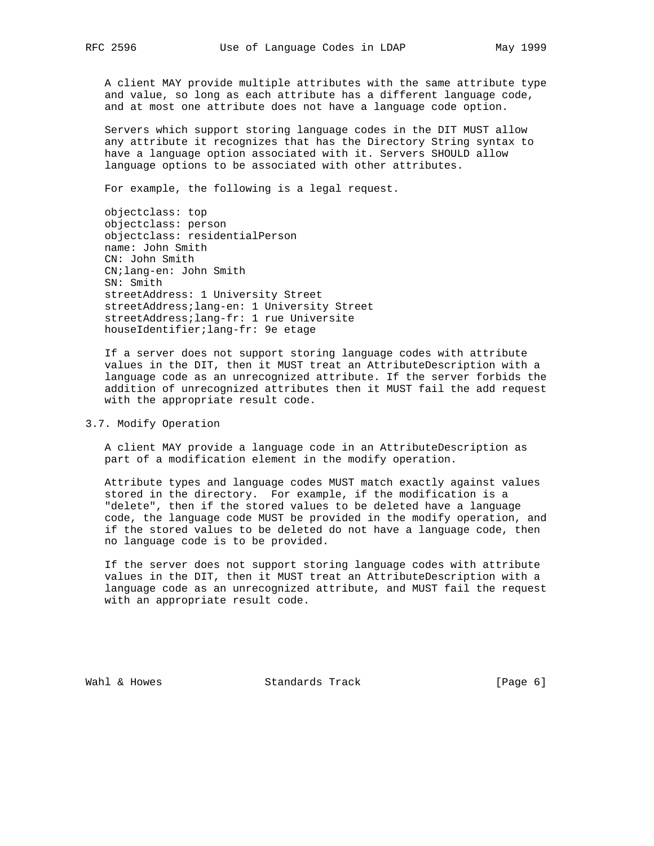A client MAY provide multiple attributes with the same attribute type and value, so long as each attribute has a different language code, and at most one attribute does not have a language code option.

 Servers which support storing language codes in the DIT MUST allow any attribute it recognizes that has the Directory String syntax to have a language option associated with it. Servers SHOULD allow language options to be associated with other attributes.

For example, the following is a legal request.

 objectclass: top objectclass: person objectclass: residentialPerson name: John Smith CN: John Smith CN;lang-en: John Smith SN: Smith streetAddress: 1 University Street streetAddress;lang-en: 1 University Street streetAddress;lang-fr: 1 rue Universite houseIdentifier;lang-fr: 9e etage

 If a server does not support storing language codes with attribute values in the DIT, then it MUST treat an AttributeDescription with a language code as an unrecognized attribute. If the server forbids the addition of unrecognized attributes then it MUST fail the add request with the appropriate result code.

## 3.7. Modify Operation

 A client MAY provide a language code in an AttributeDescription as part of a modification element in the modify operation.

 Attribute types and language codes MUST match exactly against values stored in the directory. For example, if the modification is a "delete", then if the stored values to be deleted have a language code, the language code MUST be provided in the modify operation, and if the stored values to be deleted do not have a language code, then no language code is to be provided.

 If the server does not support storing language codes with attribute values in the DIT, then it MUST treat an AttributeDescription with a language code as an unrecognized attribute, and MUST fail the request with an appropriate result code.

Wahl & Howes Standards Track (Page 6)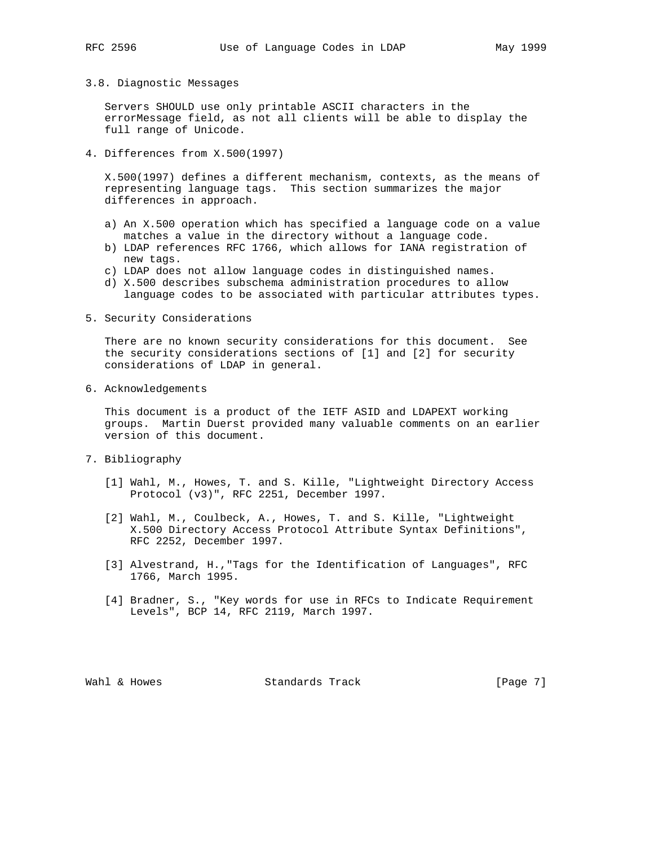## 3.8. Diagnostic Messages

 Servers SHOULD use only printable ASCII characters in the errorMessage field, as not all clients will be able to display the full range of Unicode.

4. Differences from X.500(1997)

 X.500(1997) defines a different mechanism, contexts, as the means of representing language tags. This section summarizes the major differences in approach.

- a) An X.500 operation which has specified a language code on a value matches a value in the directory without a language code.
- b) LDAP references RFC 1766, which allows for IANA registration of new tags.
- c) LDAP does not allow language codes in distinguished names.
- d) X.500 describes subschema administration procedures to allow language codes to be associated with particular attributes types.
- 5. Security Considerations

 There are no known security considerations for this document. See the security considerations sections of [1] and [2] for security considerations of LDAP in general.

6. Acknowledgements

 This document is a product of the IETF ASID and LDAPEXT working groups. Martin Duerst provided many valuable comments on an earlier version of this document.

- 7. Bibliography
	- [1] Wahl, M., Howes, T. and S. Kille, "Lightweight Directory Access Protocol (v3)", RFC 2251, December 1997.
	- [2] Wahl, M., Coulbeck, A., Howes, T. and S. Kille, "Lightweight X.500 Directory Access Protocol Attribute Syntax Definitions", RFC 2252, December 1997.
	- [3] Alvestrand, H.,"Tags for the Identification of Languages", RFC 1766, March 1995.
	- [4] Bradner, S., "Key words for use in RFCs to Indicate Requirement Levels", BCP 14, RFC 2119, March 1997.

Wahl & Howes Standards Track (Page 7)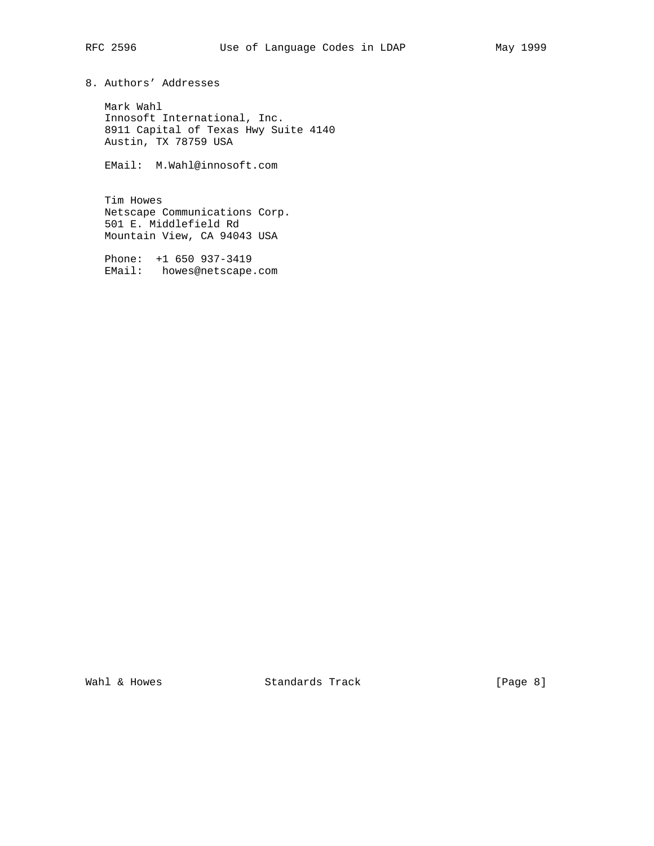8. Authors' Addresses

 Mark Wahl Innosoft International, Inc. 8911 Capital of Texas Hwy Suite 4140 Austin, TX 78759 USA

EMail: M.Wahl@innosoft.com

 Tim Howes Netscape Communications Corp. 501 E. Middlefield Rd Mountain View, CA 94043 USA

 Phone: +1 650 937-3419 EMail: howes@netscape.com

Wahl & Howes Standards Track [Page 8]